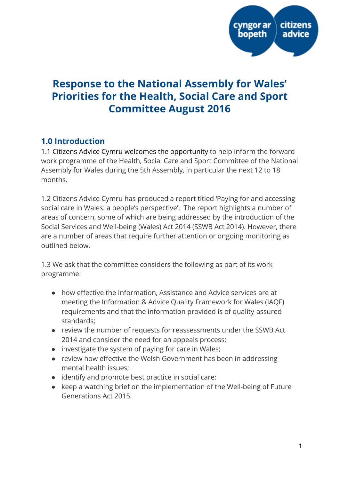

# Response to the National Assembly for Wales' Priorities for the Health, Social Care and Sport Committee August 2016

# 1.0 Introduction

1.1 Citizens Advice Cymru welcomes the opportunity to help inform the forward work programme of the Health, Social Care and Sport Committee of the National Assembly for Wales during the 5th Assembly, in particular the next 12 to 18 months.

1.2 Citizens Advice Cymru has produced a report titled 'Paying for and accessing social care in Wales: a people's perspective'. The report highlights a number of areas of concern, some of which are being addressed by the introduction of the Social Services and Well-being (Wales) Act 2014 (SSWB Act 2014). However, there are a number of areas that require further attention or ongoing monitoring as outlined below.

1.3 We ask that the committee considers the following as part of its work programme:

- how effective the Information, Assistance and Advice services are at meeting the Information & Advice Quality Framework for Wales (IAQF) requirements and that the information provided is of quality-assured standards;
- review the number of requests for reassessments under the SSWB Act 2014 and consider the need for an appeals process;
- investigate the system of paying for care in Wales;
- review how effective the Welsh Government has been in addressing mental health issues;
- identify and promote best practice in social care;
- keep a watching brief on the implementation of the Well-being of Future Generations Act 2015.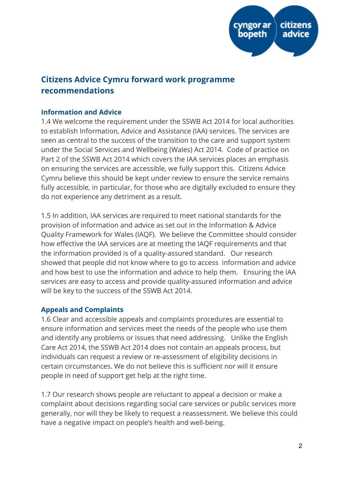

# Citizens Advice Cymru forward work programme recommendations

### Information and Advice

1.4 We welcome the requirement under the SSWB Act 2014 for local authorities to establish Information, Advice and Assistance (IAA) services. The services are seen as central to the success of the transition to the care and support system under the Social Services and Wellbeing (Wales) Act 2014. Code of practice on Part 2 of the SSWB Act 2014 which covers the IAA services places an emphasis on ensuring the services are accessible, we fully support this. Citizens Advice Cymru believe this should be kept under review to ensure the service remains fully accessible, in particular, for those who are digitally excluded to ensure they do not experience any detriment as a result.

1.5 In addition, IAA services are required to meet national standards for the provision of information and advice as set out in the Information & Advice Quality Framework for Wales (IAQF). We believe the Committee should consider how effective the IAA services are at meeting the IAQF requirements and that the information provided is of a quality-assured standard. Our research showed that people did not know where to go to access information and advice and how best to use the information and advice to help them. Ensuring the IAA services are easy to access and provide quality-assured information and advice will be key to the success of the SSWB Act 2014.

# Appeals and Complaints

1.6 Clear and accessible appeals and complaints procedures are essential to ensure information and services meet the needs of the people who use them and identify any problems or issues that need addressing. Unlike the English Care Act 2014, the SSWB Act 2014 does not contain an appeals process, but individuals can request a review or re-assessment of eligibility decisions in certain circumstances. We do not believe this is sufficient nor will it ensure people in need of support get help at the right time.

1.7 Our research shows people are reluctant to appeal a decision or make a complaint about decisions regarding social care services or public services more generally, nor will they be likely to request a reassessment. We believe this could have a negative impact on people's health and well-being.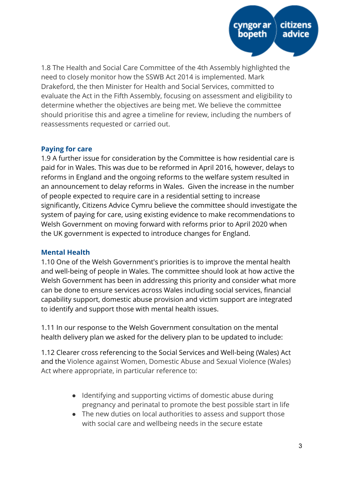

1.8 The Health and Social Care Committee of the 4th Assembly highlighted the need to closely monitor how the SSWB Act 2014 is implemented. Mark Drakeford, the then Minister for Health and Social Services, committed to evaluate the Act in the Fifth Assembly, focusing on assessment and eligibility to determine whether the objectives are being met. We believe the committee should prioritise this and agree a timeline for review, including the numbers of reassessments requested or carried out.

#### Paying for care

1.9 A further issue for consideration by the Committee is how residential care is paid for in Wales. This was due to be reformed in April 2016, however, delays to reforms in England and the ongoing reforms to the welfare system resulted in an announcement to delay reforms in Wales. Given the increase in the number of people expected to require care in a residential setting to increase significantly, Citizens Advice Cymru believe the committee should investigate the system of paying for care, using existing evidence to make recommendations to Welsh Government on moving forward with reforms prior to April 2020 when the UK government is expected to introduce changes for England.

#### Mental Health

1.10 One of the Welsh Government's priorities is to improve the mental health and well-being of people in Wales. The committee should look at how active the Welsh Government has been in addressing this priority and consider what more can be done to ensure services across Wales including social services, financial capability support, domestic abuse provision and victim support are integrated to identify and support those with mental health issues.

1.11 In our response to the Welsh Government consultation on the mental health delivery plan we asked for the delivery plan to be updated to include:

1.12 Clearer cross referencing to the Social Services and Well-being (Wales) Act and the Violence against Women, Domestic Abuse and Sexual Violence (Wales) Act where appropriate, in particular reference to:

- Identifying and supporting victims of domestic abuse during pregnancy and perinatal to promote the best possible start in life
- The new duties on local authorities to assess and support those with social care and wellbeing needs in the secure estate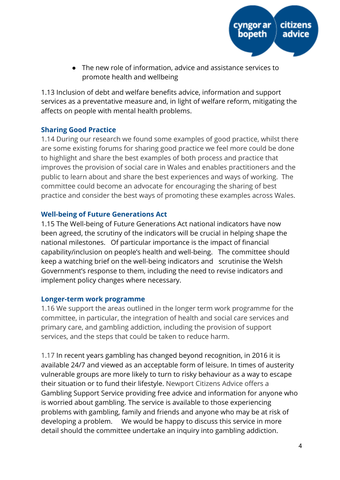

● The new role of information, advice and assistance services to promote health and wellbeing

1.13 Inclusion of debt and welfare benefits advice, information and support services as a preventative measure and, in light of welfare reform, mitigating the affects on people with mental health problems.

# Sharing Good Practice

1.14 During our research we found some examples of good practice, whilst there are some existing forums for sharing good practice we feel more could be done to highlight and share the best examples of both process and practice that improves the provision of social care in Wales and enables practitioners and the public to learn about and share the best experiences and ways of working. The committee could become an advocate for encouraging the sharing of best practice and consider the best ways of promoting these examples across Wales.

# Well-being of Future Generations Act

1.15 The Well-being of Future Generations Act national indicators have now been agreed, the scrutiny of the indicators will be crucial in helping shape the national milestones. Of particular importance is the impact of financial capability/inclusion on people's health and well-being. The committee should keep a watching brief on the well-being indicators and scrutinise the Welsh Government's response to them, including the need to revise indicators and implement policy changes where necessary.

# Longer-term work programme

1.16 We support the areas outlined in the longer term work programme for the committee, in particular, the integration of health and social care services and primary care, and gambling addiction, including the provision of support services, and the steps that could be taken to reduce harm.

1.17 In recent years gambling has changed beyond recognition, in 2016 it is available 24/7 and viewed as an acceptable form of leisure. In times of austerity vulnerable groups are more likely to turn to risky behaviour as a way to escape their situation or to fund their lifestyle. Newport Citizens Advice offers a Gambling Support Service providing free advice and information for anyone who is worried about gambling. The service is available to those experiencing problems with gambling, family and friends and anyone who may be at risk of developing a problem. We would be happy to discuss this service in more detail should the committee undertake an inquiry into gambling addiction.